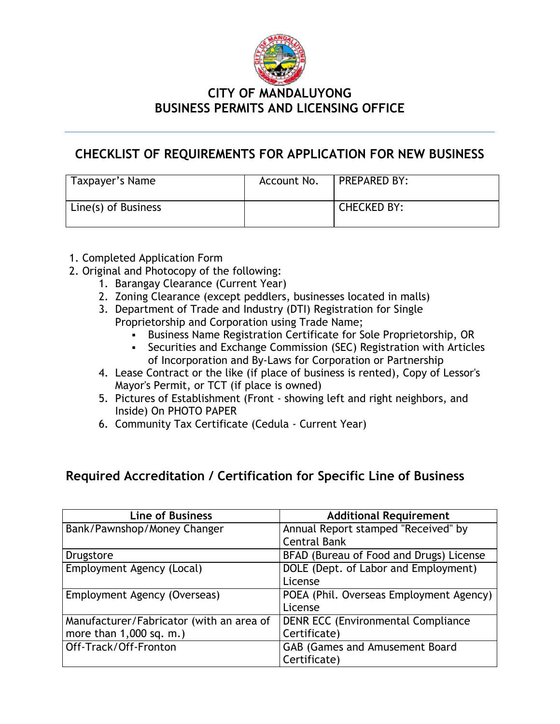

### **CITY OF MANDALUYONG BUSINESS PERMITS AND LICENSING OFFICE**

## **CHECKLIST OF REQUIREMENTS FOR APPLICATION FOR NEW BUSINESS**

| Taxpayer's Name     | Account No. | <b>PREPARED BY:</b> |
|---------------------|-------------|---------------------|
| Line(s) of Business |             | CHECKED BY:         |

#### 1. Completed Application Form

- 2. Original and Photocopy of the following:
	- 1. Barangay Clearance (Current Year)
	- 2. Zoning Clearance (except peddlers, businesses located in malls)
	- 3. Department of Trade and Industry (DTI) Registration for Single Proprietorship and Corporation using Trade Name;
		- Business Name Registration Certificate for Sole Proprietorship, OR
		- Securities and Exchange Commission (SEC) Registration with Articles of Incorporation and By-Laws for Corporation or Partnership
	- 4. Lease Contract or the like (if place of business is rented), Copy of Lessor's Mayor's Permit, or TCT (if place is owned)
	- 5. Pictures of Establishment (Front showing left and right neighbors, and Inside) On PHOTO PAPER
	- 6. Community Tax Certificate (Cedula Current Year)

## **Required Accreditation / Certification for Specific Line of Business**

| <b>Line of Business</b>                  | <b>Additional Requirement</b>             |
|------------------------------------------|-------------------------------------------|
| Bank/Pawnshop/Money Changer              | Annual Report stamped "Received" by       |
|                                          | <b>Central Bank</b>                       |
| Drugstore                                | BFAD (Bureau of Food and Drugs) License   |
| Employment Agency (Local)                | DOLE (Dept. of Labor and Employment)      |
|                                          | License                                   |
| Employment Agency (Overseas)             | POEA (Phil. Overseas Employment Agency)   |
|                                          | License                                   |
| Manufacturer/Fabricator (with an area of | <b>DENR ECC (Environmental Compliance</b> |
| more than $1,000$ sq. m.)                | Certificate)                              |
| Off-Track/Off-Fronton                    | <b>GAB (Games and Amusement Board</b>     |
|                                          | Certificate)                              |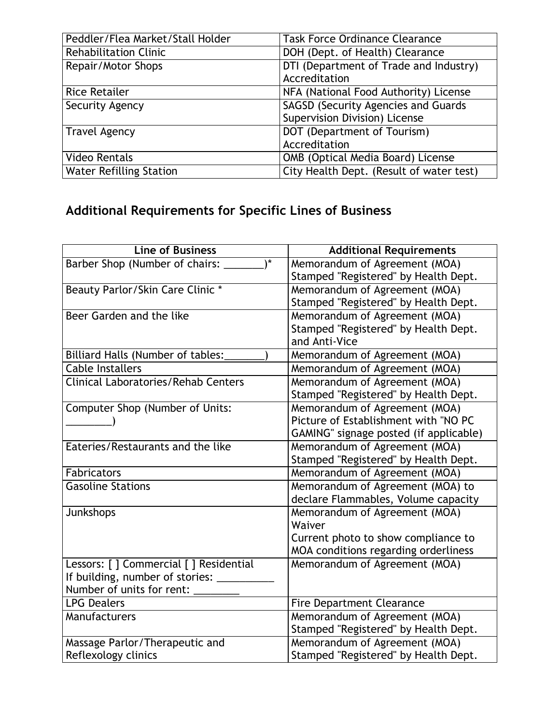| Peddler/Flea Market/Stall Holder | <b>Task Force Ordinance Clearance</b>      |
|----------------------------------|--------------------------------------------|
| <b>Rehabilitation Clinic</b>     | DOH (Dept. of Health) Clearance            |
| Repair/Motor Shops               | DTI (Department of Trade and Industry)     |
|                                  | Accreditation                              |
| <b>Rice Retailer</b>             | NFA (National Food Authority) License      |
| Security Agency                  | <b>SAGSD (Security Agencies and Guards</b> |
|                                  | Supervision Division) License              |
| <b>Travel Agency</b>             | DOT (Department of Tourism)                |
|                                  | Accreditation                              |
| <b>Video Rentals</b>             | OMB (Optical Media Board) License          |
| <b>Water Refilling Station</b>   | City Health Dept. (Result of water test)   |

# **Additional Requirements for Specific Lines of Business**

| <b>Line of Business</b>                        | <b>Additional Requirements</b>         |
|------------------------------------------------|----------------------------------------|
| $\mathbf{A}$<br>Barber Shop (Number of chairs: | Memorandum of Agreement (MOA)          |
|                                                | Stamped "Registered" by Health Dept.   |
| Beauty Parlor/Skin Care Clinic *               | Memorandum of Agreement (MOA)          |
|                                                | Stamped "Registered" by Health Dept.   |
| Beer Garden and the like                       | Memorandum of Agreement (MOA)          |
|                                                | Stamped "Registered" by Health Dept.   |
|                                                | and Anti-Vice                          |
| Billiard Halls (Number of tables:              | Memorandum of Agreement (MOA)          |
| <b>Cable Installers</b>                        | Memorandum of Agreement (MOA)          |
| Clinical Laboratories/Rehab Centers            | Memorandum of Agreement (MOA)          |
|                                                | Stamped "Registered" by Health Dept.   |
| Computer Shop (Number of Units:                | Memorandum of Agreement (MOA)          |
|                                                | Picture of Establishment with "NO PC   |
|                                                | GAMING" signage posted (if applicable) |
| Eateries/Restaurants and the like              | Memorandum of Agreement (MOA)          |
|                                                | Stamped "Registered" by Health Dept.   |
| <b>Fabricators</b>                             | Memorandum of Agreement (MOA)          |
| <b>Gasoline Stations</b>                       | Memorandum of Agreement (MOA) to       |
|                                                | declare Flammables, Volume capacity    |
| Junkshops                                      | Memorandum of Agreement (MOA)          |
|                                                | Waiver                                 |
|                                                | Current photo to show compliance to    |
|                                                | MOA conditions regarding orderliness   |
| Lessors: [ ] Commercial [ ] Residential        | Memorandum of Agreement (MOA)          |
| If building, number of stories:                |                                        |
| Number of units for rent:                      |                                        |
| <b>LPG Dealers</b>                             | <b>Fire Department Clearance</b>       |
| Manufacturers                                  | Memorandum of Agreement (MOA)          |
|                                                | Stamped "Registered" by Health Dept.   |
| Massage Parlor/Therapeutic and                 | Memorandum of Agreement (MOA)          |
| Reflexology clinics                            | Stamped "Registered" by Health Dept.   |